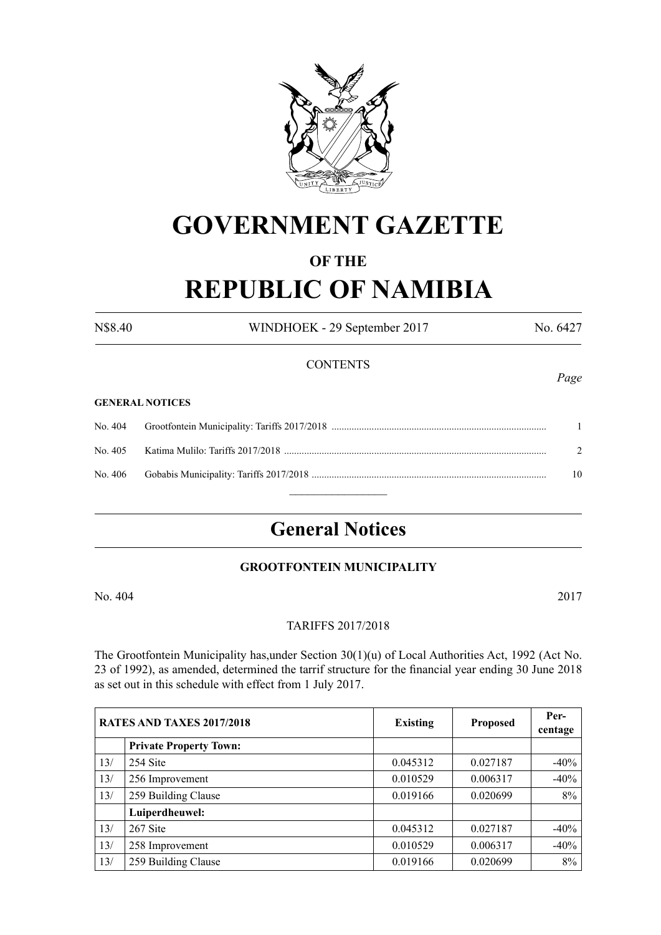

# **GOVERNMENT GAZETTE**

### **OF THE**

# **REPUBLIC OF NAMIBIA**

N\$8.40 WINDHOEK - 29 September 2017 No. 6427 **CONTENTS** 

#### **GENERAL NOTICES**

| 10 |
|----|
|    |

## **General Notices**

#### **Grootfontein Municipality**

No. 404 2017

#### TARIFFS 2017/2018

The Grootfontein Municipality has,under Section 30(1)(u) of Local Authorities Act, 1992 (Act No. 23 of 1992), as amended, determined the tarrif structure for the financial year ending 30 June 2018 as set out in this schedule with effect from 1 July 2017.

|     | RATES AND TAXES 2017/2018     | <b>Existing</b> | <b>Proposed</b> | Per-<br>centage |
|-----|-------------------------------|-----------------|-----------------|-----------------|
|     | <b>Private Property Town:</b> |                 |                 |                 |
| 13/ | 254 Site                      | 0.045312        | 0.027187        | $-40%$          |
| 13/ | 256 Improvement               | 0.010529        | 0.006317        | $-40%$          |
| 13/ | 259 Building Clause           | 0.019166        | 0.020699        | 8%              |
|     | Luiperdheuwel:                |                 |                 |                 |
| 13/ | 267 Site                      | 0.045312        | 0.027187        | $-40%$          |
| 13/ | 258 Improvement               | 0.010529        | 0.006317        | $-40%$          |
| 13/ | 259 Building Clause           | 0.019166        | 0.020699        | $8\%$           |

*Page*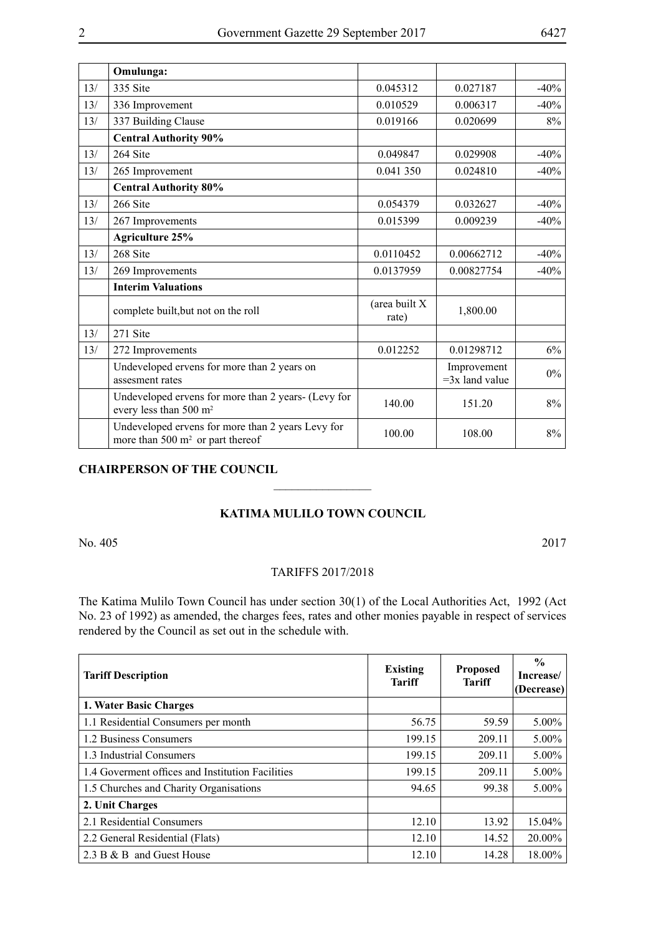|     | Omulunga:                                                                                 |                        |                                 |        |
|-----|-------------------------------------------------------------------------------------------|------------------------|---------------------------------|--------|
| 13/ | 335 Site                                                                                  | 0.045312               | 0.027187                        | $-40%$ |
| 13/ | 336 Improvement                                                                           | 0.010529               | 0.006317                        | $-40%$ |
| 13/ | 337 Building Clause                                                                       | 0.019166               | 0.020699                        | 8%     |
|     | <b>Central Authority 90%</b>                                                              |                        |                                 |        |
| 13/ | 264 Site                                                                                  | 0.049847               | 0.029908                        | $-40%$ |
| 13/ | 265 Improvement                                                                           | 0.041 350              | 0.024810                        | $-40%$ |
|     | <b>Central Authority 80%</b>                                                              |                        |                                 |        |
| 13/ | 266 Site                                                                                  | 0.054379               | 0.032627                        | $-40%$ |
| 13/ | 267 Improvements                                                                          | 0.015399               | 0.009239                        | $-40%$ |
|     | <b>Agriculture 25%</b>                                                                    |                        |                                 |        |
| 13/ | 268 Site                                                                                  | 0.0110452              | 0.00662712                      | $-40%$ |
| 13/ | 269 Improvements                                                                          | 0.0137959              | 0.00827754                      | $-40%$ |
|     | <b>Interim Valuations</b>                                                                 |                        |                                 |        |
|     | complete built, but not on the roll                                                       | (area built X<br>rate) | 1,800.00                        |        |
| 13/ | 271 Site                                                                                  |                        |                                 |        |
| 13/ | 272 Improvements                                                                          | 0.012252               | 0.01298712                      | 6%     |
|     | Undeveloped ervens for more than 2 years on<br>assesment rates                            |                        | Improvement<br>$=3x$ land value | $0\%$  |
|     | Undeveloped ervens for more than 2 years- (Levy for<br>every less than 500 m <sup>2</sup> | 140.00                 | 151.20                          | 8%     |
|     | Undeveloped ervens for more than 2 years Levy for<br>more than 500 $m2$ or part thereof   | 100.00                 | 108.00                          | 8%     |

### **CHAIRPERSON OF THE COUNCIL**

#### **KATIMA MULILO TOWN COUNCIL**

 $\overline{\phantom{a}}$  , where  $\overline{\phantom{a}}$ 

No. 405 2017

#### TARIFFS 2017/2018

The Katima Mulilo Town Council has under section 30(1) of the Local Authorities Act, 1992 (Act No. 23 of 1992) as amended, the charges fees, rates and other monies payable in respect of services rendered by the Council as set out in the schedule with.

| <b>Tariff Description</b>                        | <b>Existing</b><br><b>Tariff</b> | <b>Proposed</b><br><b>Tariff</b> | $\frac{0}{0}$<br>Increase/<br>(Decrease) |
|--------------------------------------------------|----------------------------------|----------------------------------|------------------------------------------|
| 1. Water Basic Charges                           |                                  |                                  |                                          |
| 1.1 Residential Consumers per month              | 56.75                            | 59.59                            | $5.00\%$                                 |
| 1.2 Business Consumers                           | 199.15                           | 209.11                           | 5.00%                                    |
| 1.3 Industrial Consumers                         | 199.15                           | 209.11                           | $5.00\%$                                 |
| 1.4 Governent offices and Institution Facilities | 199.15                           | 209.11                           | $5.00\%$                                 |
| 1.5 Churches and Charity Organisations           | 94.65                            | 99.38                            | $5.00\%$                                 |
| 2. Unit Charges                                  |                                  |                                  |                                          |
| 2.1 Residential Consumers                        | 12.10                            | 13.92                            | 15.04%                                   |
| 2.2 General Residential (Flats)                  | 12.10                            | 14.52                            | 20.00%                                   |
| 2.3 B & B and Guest House                        | 12.10                            | 14.28                            | 18.00%                                   |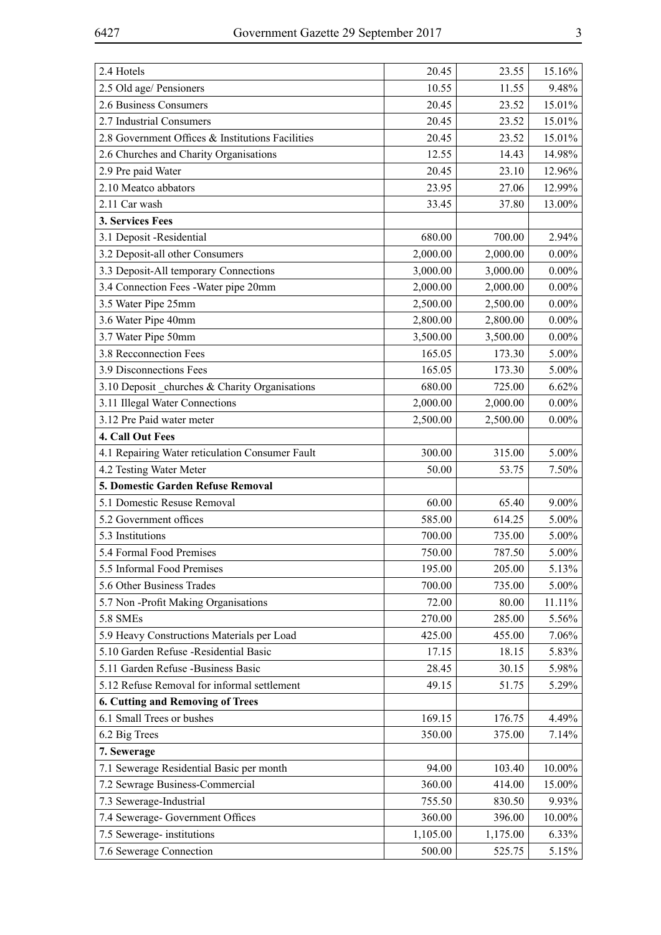| 2.4 Hotels                                       | 20.45    | 23.55    | 15.16%   |
|--------------------------------------------------|----------|----------|----------|
| 2.5 Old age/ Pensioners                          | 10.55    | 11.55    | 9.48%    |
| 2.6 Business Consumers                           | 20.45    | 23.52    | 15.01%   |
| 2.7 Industrial Consumers                         | 20.45    | 23.52    | 15.01%   |
| 2.8 Government Offices & Institutions Facilities | 20.45    | 23.52    | 15.01%   |
| 2.6 Churches and Charity Organisations           | 12.55    | 14.43    | 14.98%   |
| 2.9 Pre paid Water                               | 20.45    | 23.10    | 12.96%   |
| 2.10 Meatco abbators                             | 23.95    | 27.06    | 12.99%   |
| 2.11 Car wash                                    | 33.45    | 37.80    | 13.00%   |
| 3. Services Fees                                 |          |          |          |
| 3.1 Deposit -Residential                         | 680.00   | 700.00   | 2.94%    |
| 3.2 Deposit-all other Consumers                  | 2,000.00 | 2,000.00 | $0.00\%$ |
| 3.3 Deposit-All temporary Connections            | 3,000.00 | 3,000.00 | $0.00\%$ |
| 3.4 Connection Fees - Water pipe 20mm            | 2,000.00 | 2,000.00 | $0.00\%$ |
| 3.5 Water Pipe 25mm                              | 2,500.00 | 2,500.00 | $0.00\%$ |
| 3.6 Water Pipe 40mm                              | 2,800.00 | 2,800.00 | $0.00\%$ |
| 3.7 Water Pipe 50mm                              | 3,500.00 | 3,500.00 | $0.00\%$ |
| 3.8 Recconnection Fees                           | 165.05   | 173.30   | 5.00%    |
| 3.9 Disconnections Fees                          | 165.05   | 173.30   | 5.00%    |
| 3.10 Deposit _churches & Charity Organisations   | 680.00   | 725.00   | 6.62%    |
| 3.11 Illegal Water Connections                   | 2,000.00 | 2,000.00 | $0.00\%$ |
| 3.12 Pre Paid water meter                        | 2,500.00 | 2,500.00 | $0.00\%$ |
| 4. Call Out Fees                                 |          |          |          |
| 4.1 Repairing Water reticulation Consumer Fault  | 300.00   | 315.00   | 5.00%    |
| 4.2 Testing Water Meter                          | 50.00    | 53.75    | 7.50%    |
| 5. Domestic Garden Refuse Removal                |          |          |          |
| 5.1 Domestic Resuse Removal                      | 60.00    | 65.40    | $9.00\%$ |
| 5.2 Government offices                           | 585.00   | 614.25   | 5.00%    |
| 5.3 Institutions                                 | 700.00   | 735.00   | 5.00%    |
| 5.4 Formal Food Premises                         | 750.00   | 787.50   | 5.00%    |
| 5.5 Informal Food Premises                       | 195.00   | 205.00   | 5.13%    |
| 5.6 Other Business Trades                        | 700.00   | 735.00   | 5.00%    |
| 5.7 Non-Profit Making Organisations              | 72.00    | 80.00    | 11.11%   |
| <b>5.8 SMEs</b>                                  | 270.00   | 285.00   | 5.56%    |
| 5.9 Heavy Constructions Materials per Load       | 425.00   | 455.00   | 7.06%    |
| 5.10 Garden Refuse -Residential Basic            | 17.15    | 18.15    | 5.83%    |
| 5.11 Garden Refuse -Business Basic               | 28.45    | 30.15    | 5.98%    |
| 5.12 Refuse Removal for informal settlement      | 49.15    | 51.75    | 5.29%    |
| 6. Cutting and Removing of Trees                 |          |          |          |
| 6.1 Small Trees or bushes                        | 169.15   | 176.75   | 4.49%    |
| 6.2 Big Trees                                    | 350.00   | 375.00   | 7.14%    |
| 7. Sewerage                                      |          |          |          |
| 7.1 Sewerage Residential Basic per month         | 94.00    | 103.40   | 10.00%   |
| 7.2 Sewrage Business-Commercial                  | 360.00   | 414.00   | 15.00%   |
| 7.3 Sewerage-Industrial                          | 755.50   | 830.50   | 9.93%    |
| 7.4 Sewerage- Government Offices                 | 360.00   | 396.00   | 10.00%   |
| 7.5 Sewerage-institutions                        | 1,105.00 | 1,175.00 | 6.33%    |
| 7.6 Sewerage Connection                          | 500.00   | 525.75   | 5.15%    |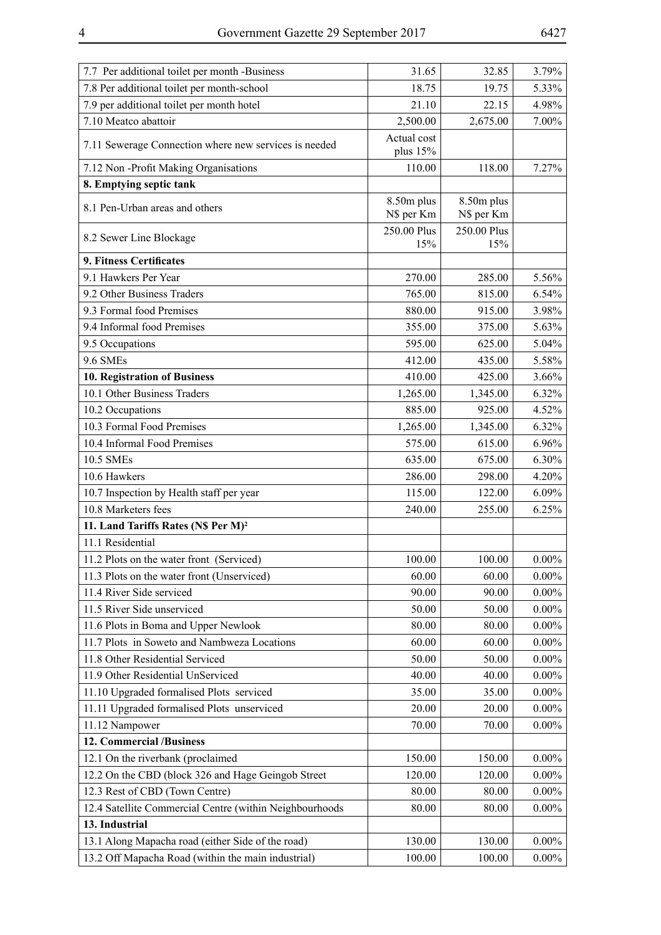| 7.7 Per additional toilet per month -Business           | 31.65                    | 32.85                    | 3.79%    |
|---------------------------------------------------------|--------------------------|--------------------------|----------|
| 7.8 Per additional toilet per month-school              | 18.75                    | 19.75                    | 5.33%    |
| 7.9 per additional toilet per month hotel               | 21.10                    | 22.15                    | 4.98%    |
| 7.10 Meatco abattoir                                    | 2,500.00                 | 2,675.00                 | 7.00%    |
| 7.11 Sewerage Connection where new services is needed   | Actual cost<br>plus 15%  |                          |          |
| 7.12 Non-Profit Making Organisations                    | 110.00                   | 118.00                   | 7.27%    |
| 8. Emptying septic tank                                 |                          |                          |          |
| 8.1 Pen-Urban areas and others                          | 8.50m plus<br>N\$ per Km | 8.50m plus<br>N\$ per Km |          |
| 8.2 Sewer Line Blockage                                 | 250.00 Plus<br>15%       | 250.00 Plus<br>15%       |          |
| 9. Fitness Certificates                                 |                          |                          |          |
| 9.1 Hawkers Per Year                                    | 270.00                   | 285.00                   | 5.56%    |
| 9.2 Other Business Traders                              | 765.00                   | 815.00                   | 6.54%    |
| 9.3 Formal food Premises                                | 880.00                   | 915.00                   | 3.98%    |
| 9.4 Informal food Premises                              | 355.00                   | 375.00                   | 5.63%    |
| 9.5 Occupations                                         | 595.00                   | 625.00                   | 5.04%    |
| <b>9.6 SMEs</b>                                         | 412.00                   | 435.00                   | 5.58%    |
| 10. Registration of Business                            | 410.00                   | 425.00                   | $3.66\%$ |
| 10.1 Other Business Traders                             | 1,265.00                 | 1,345.00                 | 6.32%    |
| 10.2 Occupations                                        | 885.00                   | 925.00                   | 4.52%    |
| 10.3 Formal Food Premises                               | 1,265.00                 | 1,345.00                 | 6.32%    |
| 10.4 Informal Food Premises                             | 575.00                   | 615.00                   | 6.96%    |
| 10.5 SMEs                                               | 635.00                   | 675.00                   | 6.30%    |
| 10.6 Hawkers                                            | 286.00                   | 298.00                   | 4.20%    |
| 10.7 Inspection by Health staff per year                | 115.00                   | 122.00                   | $6.09\%$ |
| 10.8 Marketers fees                                     | 240.00                   | 255.00                   | 6.25%    |
| 11. Land Tariffs Rates (N\$ Per M) <sup>2</sup>         |                          |                          |          |
| 11.1 Residential                                        |                          |                          |          |
| 11.2 Plots on the water front (Serviced)                | 100.00                   | 100.00                   | $0.00\%$ |
| 11.3 Plots on the water front (Unserviced)              | 60.00                    | 60.00                    | $0.00\%$ |
| 11.4 River Side serviced                                | 90.00                    | 90.00                    | $0.00\%$ |
| 11.5 River Side unserviced                              | 50.00                    | 50.00                    | $0.00\%$ |
| 11.6 Plots in Boma and Upper Newlook                    | 80.00                    | 80.00                    | $0.00\%$ |
| 11.7 Plots in Soweto and Nambweza Locations             | 60.00                    | 60.00                    | $0.00\%$ |
| 11.8 Other Residential Serviced                         | 50.00                    | 50.00                    | $0.00\%$ |
| 11.9 Other Residential UnServiced                       | 40.00                    | 40.00                    | $0.00\%$ |
| 11.10 Upgraded formalised Plots serviced                | 35.00                    | 35.00                    | $0.00\%$ |
| 11.11 Upgraded formalised Plots unserviced              | 20.00                    | 20.00                    | $0.00\%$ |
| 11.12 Nampower                                          | 70.00                    | 70.00                    | $0.00\%$ |
| 12. Commercial /Business                                |                          |                          |          |
| 12.1 On the riverbank (proclaimed                       | 150.00                   | 150.00                   | $0.00\%$ |
| 12.2 On the CBD (block 326 and Hage Geingob Street      | 120.00                   | 120.00                   | $0.00\%$ |
| 12.3 Rest of CBD (Town Centre)                          | 80.00                    | 80.00                    | $0.00\%$ |
| 12.4 Satellite Commercial Centre (within Neighbourhoods | 80.00                    | 80.00                    | $0.00\%$ |
| 13. Industrial                                          |                          |                          |          |
| 13.1 Along Mapacha road (either Side of the road)       | 130.00                   | 130.00                   | $0.00\%$ |
| 13.2 Off Mapacha Road (within the main industrial)      | 100.00                   | 100.00                   | $0.00\%$ |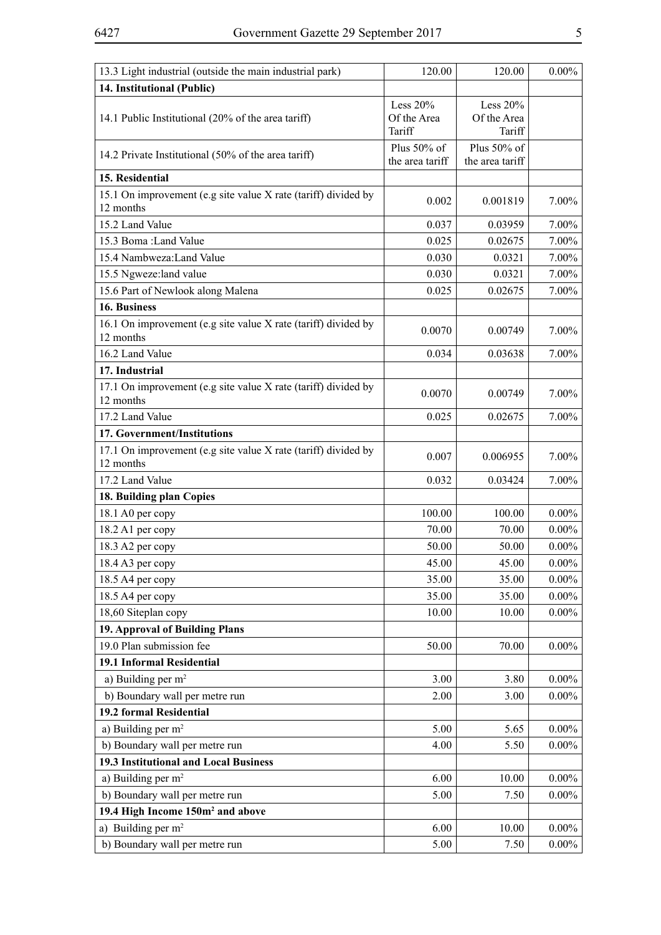| 13.3 Light industrial (outside the main industrial park)                    | 120.00          | 120.00          | $0.00\%$ |
|-----------------------------------------------------------------------------|-----------------|-----------------|----------|
| 14. Institutional (Public)                                                  |                 |                 |          |
|                                                                             | Less $20%$      | Less $20%$      |          |
| 14.1 Public Institutional (20% of the area tariff)                          | Of the Area     | Of the Area     |          |
|                                                                             | Tariff          | Tariff          |          |
| 14.2 Private Institutional (50% of the area tariff)                         | Plus 50% of     | Plus 50% of     |          |
|                                                                             | the area tariff | the area tariff |          |
| 15. Residential                                                             |                 |                 |          |
| 15.1 On improvement (e.g site value X rate (tariff) divided by              | 0.002           | 0.001819        | 7.00%    |
| 12 months                                                                   |                 |                 |          |
| 15.2 Land Value                                                             | 0.037           | 0.03959         | 7.00%    |
| 15.3 Boma: Land Value                                                       | 0.025           | 0.02675         | 7.00%    |
| 15.4 Nambweza: Land Value                                                   | 0.030           | 0.0321          | 7.00%    |
| 15.5 Ngweze:land value                                                      | 0.030           | 0.0321          | 7.00%    |
| 15.6 Part of Newlook along Malena                                           | 0.025           | 0.02675         | $7.00\%$ |
| 16. Business                                                                |                 |                 |          |
| 16.1 On improvement (e.g site value X rate (tariff) divided by<br>12 months | 0.0070          | 0.00749         | 7.00%    |
| 16.2 Land Value                                                             | 0.034           | 0.03638         | 7.00%    |
| 17. Industrial                                                              |                 |                 |          |
| 17.1 On improvement (e.g site value X rate (tariff) divided by              |                 |                 |          |
| 12 months                                                                   | 0.0070          | 0.00749         | 7.00%    |
| 17.2 Land Value                                                             | 0.025           | 0.02675         | 7.00%    |
| 17. Government/Institutions                                                 |                 |                 |          |
| 17.1 On improvement (e.g site value X rate (tariff) divided by              |                 |                 |          |
| 12 months                                                                   | 0.007           | 0.006955        | 7.00%    |
| 17.2 Land Value                                                             | 0.032           | 0.03424         | 7.00%    |
| 18. Building plan Copies                                                    |                 |                 |          |
| 18.1 A0 per copy                                                            | 100.00          | 100.00          | $0.00\%$ |
| 18.2 A1 per copy                                                            | 70.00           | 70.00           | $0.00\%$ |
| 18.3 A2 per copy                                                            | 50.00           | 50.00           | $0.00\%$ |
| 18.4 A3 per copy                                                            | 45.00           | 45.00           | $0.00\%$ |
| 18.5 A4 per copy                                                            | 35.00           | 35.00           | $0.00\%$ |
| 18.5 A4 per copy                                                            | 35.00           | 35.00           | $0.00\%$ |
| 18,60 Siteplan copy                                                         | 10.00           | 10.00           | $0.00\%$ |
| 19. Approval of Building Plans                                              |                 |                 |          |
| 19.0 Plan submission fee                                                    | 50.00           | 70.00           | $0.00\%$ |
| 19.1 Informal Residential                                                   |                 |                 |          |
| a) Building per $m2$                                                        | 3.00            | 3.80            | $0.00\%$ |
| b) Boundary wall per metre run                                              | 2.00            | 3.00            | $0.00\%$ |
| 19.2 formal Residential                                                     |                 |                 |          |
| a) Building per m <sup>2</sup>                                              | 5.00            | 5.65            | $0.00\%$ |
| b) Boundary wall per metre run                                              | 4.00            | 5.50            | $0.00\%$ |
| 19.3 Institutional and Local Business                                       |                 |                 |          |
| a) Building per $m2$                                                        | 6.00            | 10.00           | $0.00\%$ |
| b) Boundary wall per metre run                                              | 5.00            | 7.50            | $0.00\%$ |
| 19.4 High Income 150m <sup>2</sup> and above                                |                 |                 |          |
| a) Building per $m2$                                                        | 6.00            | 10.00           | $0.00\%$ |
| b) Boundary wall per metre run                                              | 5.00            | 7.50            | $0.00\%$ |
|                                                                             |                 |                 |          |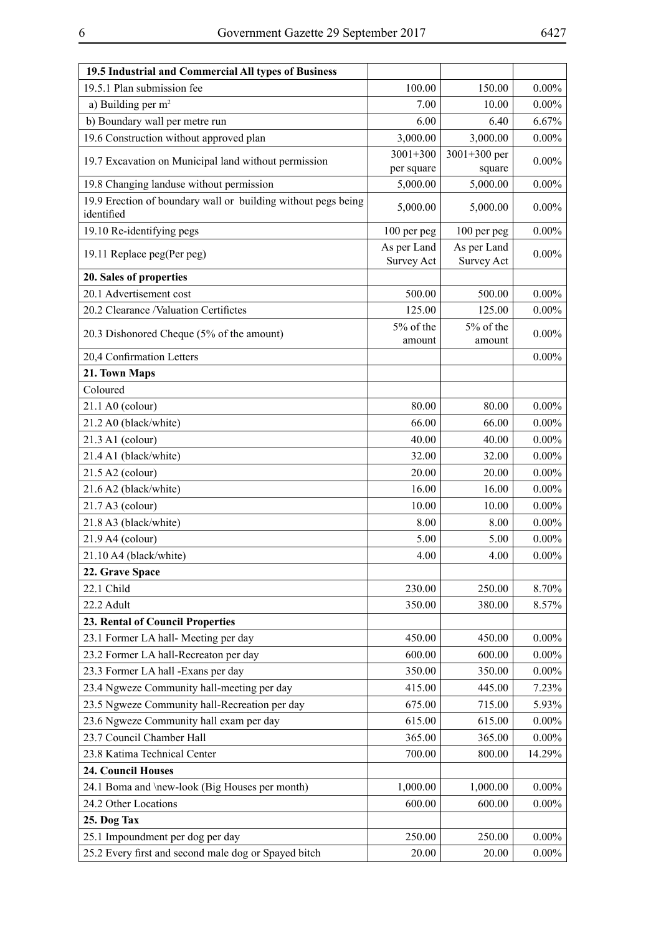| 19.5.1 Plan submission fee<br>$0.00\%$<br>100.00<br>150.00<br>a) Building per $m2$<br>7.00<br>$0.00\%$<br>10.00<br>b) Boundary wall per metre run<br>6.67%<br>6.00<br>6.40<br>19.6 Construction without approved plan<br>3,000.00<br>$0.00\%$<br>3,000.00<br>$3001 + 300$<br>$3001 + 300$ per<br>$0.00\%$<br>19.7 Excavation on Municipal land without permission<br>square<br>per square<br>19.8 Changing landuse without permission<br>5,000.00<br>5,000.00<br>$0.00\%$<br>19.9 Erection of boundary wall or building without pegs being<br>5,000.00<br>5,000.00<br>$0.00\%$<br>identified<br>19.10 Re-identifying pegs<br>$0.00\%$<br>100 per peg<br>100 per peg<br>As per Land<br>As per Land<br>$0.00\%$<br>19.11 Replace peg(Per peg)<br><b>Survey Act</b><br><b>Survey Act</b><br>20. Sales of properties<br>20.1 Advertisement cost<br>500.00<br>$0.00\%$<br>500.00<br>20.2 Clearance /Valuation Certifictes<br>125.00<br>125.00<br>$0.00\%$<br>5% of the<br>5% of the<br>20.3 Dishonored Cheque (5% of the amount)<br>$0.00\%$<br>amount<br>amount<br>20,4 Confirmation Letters<br>$0.00\%$<br>21. Town Maps<br>Coloured<br>21.1 A0 (colour)<br>$0.00\%$<br>80.00<br>80.00<br>21.2 A0 (black/white)<br>$0.00\%$<br>66.00<br>66.00<br>21.3 A1 (colour)<br>40.00<br>$0.00\%$<br>40.00<br>21.4 A1 (black/white)<br>32.00<br>$0.00\%$<br>32.00<br>21.5 A2 (colour)<br>$0.00\%$<br>20.00<br>20.00<br>21.6 A2 (black/white)<br>$0.00\%$<br>16.00<br>16.00<br>$21.7 A3$ (colour)<br>10.00<br>$0.00\%$<br>10.00<br>21.8 A3 (black/white)<br>$0.00\%$<br>8.00<br>8.00<br>21.9 A4 (colour)<br>$0.00\%$<br>5.00<br>5.00<br>$0.00\%$<br>21.10 A4 (black/white)<br>4.00<br>4.00<br>22. Grave Space<br>22.1 Child<br>230.00<br>250.00<br>8.70%<br>22.2 Adult<br>350.00<br>380.00<br>8.57%<br>23. Rental of Council Properties<br>23.1 Former LA hall-Meeting per day<br>450.00<br>$0.00\%$<br>450.00<br>23.2 Former LA hall-Recreaton per day<br>600.00<br>$0.00\%$<br>600.00<br>23.3 Former LA hall -Exans per day<br>350.00<br>350.00<br>$0.00\%$<br>7.23%<br>23.4 Ngweze Community hall-meeting per day<br>415.00<br>445.00<br>23.5 Ngweze Community hall-Recreation per day<br>675.00<br>715.00<br>5.93%<br>23.6 Ngweze Community hall exam per day<br>615.00<br>615.00<br>$0.00\%$<br>23.7 Council Chamber Hall<br>365.00<br>$0.00\%$<br>365.00<br>23.8 Katima Technical Center<br>700.00<br>14.29%<br>800.00<br>24. Council Houses<br>24.1 Boma and \new-look (Big Houses per month)<br>1,000.00<br>$0.00\%$<br>1,000.00<br>24.2 Other Locations<br>600.00<br>600.00<br>$0.00\%$<br>25. Dog Tax<br>25.1 Impoundment per dog per day<br>$0.00\%$<br>250.00<br>250.00<br>25.2 Every first and second male dog or Spayed bitch<br>20.00<br>$0.00\%$<br>20.00 | 19.5 Industrial and Commercial All types of Business |  |  |
|------------------------------------------------------------------------------------------------------------------------------------------------------------------------------------------------------------------------------------------------------------------------------------------------------------------------------------------------------------------------------------------------------------------------------------------------------------------------------------------------------------------------------------------------------------------------------------------------------------------------------------------------------------------------------------------------------------------------------------------------------------------------------------------------------------------------------------------------------------------------------------------------------------------------------------------------------------------------------------------------------------------------------------------------------------------------------------------------------------------------------------------------------------------------------------------------------------------------------------------------------------------------------------------------------------------------------------------------------------------------------------------------------------------------------------------------------------------------------------------------------------------------------------------------------------------------------------------------------------------------------------------------------------------------------------------------------------------------------------------------------------------------------------------------------------------------------------------------------------------------------------------------------------------------------------------------------------------------------------------------------------------------------------------------------------------------------------------------------------------------------------------------------------------------------------------------------------------------------------------------------------------------------------------------------------------------------------------------------------------------------------------------------------------------------------------------------------------------------------------------------------------------------------------------------------------------------------------------------------------------------------------------------------------------------------------------------------------------------------------------------------|------------------------------------------------------|--|--|
|                                                                                                                                                                                                                                                                                                                                                                                                                                                                                                                                                                                                                                                                                                                                                                                                                                                                                                                                                                                                                                                                                                                                                                                                                                                                                                                                                                                                                                                                                                                                                                                                                                                                                                                                                                                                                                                                                                                                                                                                                                                                                                                                                                                                                                                                                                                                                                                                                                                                                                                                                                                                                                                                                                                                                            |                                                      |  |  |
|                                                                                                                                                                                                                                                                                                                                                                                                                                                                                                                                                                                                                                                                                                                                                                                                                                                                                                                                                                                                                                                                                                                                                                                                                                                                                                                                                                                                                                                                                                                                                                                                                                                                                                                                                                                                                                                                                                                                                                                                                                                                                                                                                                                                                                                                                                                                                                                                                                                                                                                                                                                                                                                                                                                                                            |                                                      |  |  |
|                                                                                                                                                                                                                                                                                                                                                                                                                                                                                                                                                                                                                                                                                                                                                                                                                                                                                                                                                                                                                                                                                                                                                                                                                                                                                                                                                                                                                                                                                                                                                                                                                                                                                                                                                                                                                                                                                                                                                                                                                                                                                                                                                                                                                                                                                                                                                                                                                                                                                                                                                                                                                                                                                                                                                            |                                                      |  |  |
|                                                                                                                                                                                                                                                                                                                                                                                                                                                                                                                                                                                                                                                                                                                                                                                                                                                                                                                                                                                                                                                                                                                                                                                                                                                                                                                                                                                                                                                                                                                                                                                                                                                                                                                                                                                                                                                                                                                                                                                                                                                                                                                                                                                                                                                                                                                                                                                                                                                                                                                                                                                                                                                                                                                                                            |                                                      |  |  |
|                                                                                                                                                                                                                                                                                                                                                                                                                                                                                                                                                                                                                                                                                                                                                                                                                                                                                                                                                                                                                                                                                                                                                                                                                                                                                                                                                                                                                                                                                                                                                                                                                                                                                                                                                                                                                                                                                                                                                                                                                                                                                                                                                                                                                                                                                                                                                                                                                                                                                                                                                                                                                                                                                                                                                            |                                                      |  |  |
|                                                                                                                                                                                                                                                                                                                                                                                                                                                                                                                                                                                                                                                                                                                                                                                                                                                                                                                                                                                                                                                                                                                                                                                                                                                                                                                                                                                                                                                                                                                                                                                                                                                                                                                                                                                                                                                                                                                                                                                                                                                                                                                                                                                                                                                                                                                                                                                                                                                                                                                                                                                                                                                                                                                                                            |                                                      |  |  |
|                                                                                                                                                                                                                                                                                                                                                                                                                                                                                                                                                                                                                                                                                                                                                                                                                                                                                                                                                                                                                                                                                                                                                                                                                                                                                                                                                                                                                                                                                                                                                                                                                                                                                                                                                                                                                                                                                                                                                                                                                                                                                                                                                                                                                                                                                                                                                                                                                                                                                                                                                                                                                                                                                                                                                            |                                                      |  |  |
|                                                                                                                                                                                                                                                                                                                                                                                                                                                                                                                                                                                                                                                                                                                                                                                                                                                                                                                                                                                                                                                                                                                                                                                                                                                                                                                                                                                                                                                                                                                                                                                                                                                                                                                                                                                                                                                                                                                                                                                                                                                                                                                                                                                                                                                                                                                                                                                                                                                                                                                                                                                                                                                                                                                                                            |                                                      |  |  |
|                                                                                                                                                                                                                                                                                                                                                                                                                                                                                                                                                                                                                                                                                                                                                                                                                                                                                                                                                                                                                                                                                                                                                                                                                                                                                                                                                                                                                                                                                                                                                                                                                                                                                                                                                                                                                                                                                                                                                                                                                                                                                                                                                                                                                                                                                                                                                                                                                                                                                                                                                                                                                                                                                                                                                            |                                                      |  |  |
|                                                                                                                                                                                                                                                                                                                                                                                                                                                                                                                                                                                                                                                                                                                                                                                                                                                                                                                                                                                                                                                                                                                                                                                                                                                                                                                                                                                                                                                                                                                                                                                                                                                                                                                                                                                                                                                                                                                                                                                                                                                                                                                                                                                                                                                                                                                                                                                                                                                                                                                                                                                                                                                                                                                                                            |                                                      |  |  |
|                                                                                                                                                                                                                                                                                                                                                                                                                                                                                                                                                                                                                                                                                                                                                                                                                                                                                                                                                                                                                                                                                                                                                                                                                                                                                                                                                                                                                                                                                                                                                                                                                                                                                                                                                                                                                                                                                                                                                                                                                                                                                                                                                                                                                                                                                                                                                                                                                                                                                                                                                                                                                                                                                                                                                            |                                                      |  |  |
|                                                                                                                                                                                                                                                                                                                                                                                                                                                                                                                                                                                                                                                                                                                                                                                                                                                                                                                                                                                                                                                                                                                                                                                                                                                                                                                                                                                                                                                                                                                                                                                                                                                                                                                                                                                                                                                                                                                                                                                                                                                                                                                                                                                                                                                                                                                                                                                                                                                                                                                                                                                                                                                                                                                                                            |                                                      |  |  |
|                                                                                                                                                                                                                                                                                                                                                                                                                                                                                                                                                                                                                                                                                                                                                                                                                                                                                                                                                                                                                                                                                                                                                                                                                                                                                                                                                                                                                                                                                                                                                                                                                                                                                                                                                                                                                                                                                                                                                                                                                                                                                                                                                                                                                                                                                                                                                                                                                                                                                                                                                                                                                                                                                                                                                            |                                                      |  |  |
|                                                                                                                                                                                                                                                                                                                                                                                                                                                                                                                                                                                                                                                                                                                                                                                                                                                                                                                                                                                                                                                                                                                                                                                                                                                                                                                                                                                                                                                                                                                                                                                                                                                                                                                                                                                                                                                                                                                                                                                                                                                                                                                                                                                                                                                                                                                                                                                                                                                                                                                                                                                                                                                                                                                                                            |                                                      |  |  |
|                                                                                                                                                                                                                                                                                                                                                                                                                                                                                                                                                                                                                                                                                                                                                                                                                                                                                                                                                                                                                                                                                                                                                                                                                                                                                                                                                                                                                                                                                                                                                                                                                                                                                                                                                                                                                                                                                                                                                                                                                                                                                                                                                                                                                                                                                                                                                                                                                                                                                                                                                                                                                                                                                                                                                            |                                                      |  |  |
|                                                                                                                                                                                                                                                                                                                                                                                                                                                                                                                                                                                                                                                                                                                                                                                                                                                                                                                                                                                                                                                                                                                                                                                                                                                                                                                                                                                                                                                                                                                                                                                                                                                                                                                                                                                                                                                                                                                                                                                                                                                                                                                                                                                                                                                                                                                                                                                                                                                                                                                                                                                                                                                                                                                                                            |                                                      |  |  |
|                                                                                                                                                                                                                                                                                                                                                                                                                                                                                                                                                                                                                                                                                                                                                                                                                                                                                                                                                                                                                                                                                                                                                                                                                                                                                                                                                                                                                                                                                                                                                                                                                                                                                                                                                                                                                                                                                                                                                                                                                                                                                                                                                                                                                                                                                                                                                                                                                                                                                                                                                                                                                                                                                                                                                            |                                                      |  |  |
|                                                                                                                                                                                                                                                                                                                                                                                                                                                                                                                                                                                                                                                                                                                                                                                                                                                                                                                                                                                                                                                                                                                                                                                                                                                                                                                                                                                                                                                                                                                                                                                                                                                                                                                                                                                                                                                                                                                                                                                                                                                                                                                                                                                                                                                                                                                                                                                                                                                                                                                                                                                                                                                                                                                                                            |                                                      |  |  |
|                                                                                                                                                                                                                                                                                                                                                                                                                                                                                                                                                                                                                                                                                                                                                                                                                                                                                                                                                                                                                                                                                                                                                                                                                                                                                                                                                                                                                                                                                                                                                                                                                                                                                                                                                                                                                                                                                                                                                                                                                                                                                                                                                                                                                                                                                                                                                                                                                                                                                                                                                                                                                                                                                                                                                            |                                                      |  |  |
|                                                                                                                                                                                                                                                                                                                                                                                                                                                                                                                                                                                                                                                                                                                                                                                                                                                                                                                                                                                                                                                                                                                                                                                                                                                                                                                                                                                                                                                                                                                                                                                                                                                                                                                                                                                                                                                                                                                                                                                                                                                                                                                                                                                                                                                                                                                                                                                                                                                                                                                                                                                                                                                                                                                                                            |                                                      |  |  |
|                                                                                                                                                                                                                                                                                                                                                                                                                                                                                                                                                                                                                                                                                                                                                                                                                                                                                                                                                                                                                                                                                                                                                                                                                                                                                                                                                                                                                                                                                                                                                                                                                                                                                                                                                                                                                                                                                                                                                                                                                                                                                                                                                                                                                                                                                                                                                                                                                                                                                                                                                                                                                                                                                                                                                            |                                                      |  |  |
|                                                                                                                                                                                                                                                                                                                                                                                                                                                                                                                                                                                                                                                                                                                                                                                                                                                                                                                                                                                                                                                                                                                                                                                                                                                                                                                                                                                                                                                                                                                                                                                                                                                                                                                                                                                                                                                                                                                                                                                                                                                                                                                                                                                                                                                                                                                                                                                                                                                                                                                                                                                                                                                                                                                                                            |                                                      |  |  |
|                                                                                                                                                                                                                                                                                                                                                                                                                                                                                                                                                                                                                                                                                                                                                                                                                                                                                                                                                                                                                                                                                                                                                                                                                                                                                                                                                                                                                                                                                                                                                                                                                                                                                                                                                                                                                                                                                                                                                                                                                                                                                                                                                                                                                                                                                                                                                                                                                                                                                                                                                                                                                                                                                                                                                            |                                                      |  |  |
|                                                                                                                                                                                                                                                                                                                                                                                                                                                                                                                                                                                                                                                                                                                                                                                                                                                                                                                                                                                                                                                                                                                                                                                                                                                                                                                                                                                                                                                                                                                                                                                                                                                                                                                                                                                                                                                                                                                                                                                                                                                                                                                                                                                                                                                                                                                                                                                                                                                                                                                                                                                                                                                                                                                                                            |                                                      |  |  |
|                                                                                                                                                                                                                                                                                                                                                                                                                                                                                                                                                                                                                                                                                                                                                                                                                                                                                                                                                                                                                                                                                                                                                                                                                                                                                                                                                                                                                                                                                                                                                                                                                                                                                                                                                                                                                                                                                                                                                                                                                                                                                                                                                                                                                                                                                                                                                                                                                                                                                                                                                                                                                                                                                                                                                            |                                                      |  |  |
|                                                                                                                                                                                                                                                                                                                                                                                                                                                                                                                                                                                                                                                                                                                                                                                                                                                                                                                                                                                                                                                                                                                                                                                                                                                                                                                                                                                                                                                                                                                                                                                                                                                                                                                                                                                                                                                                                                                                                                                                                                                                                                                                                                                                                                                                                                                                                                                                                                                                                                                                                                                                                                                                                                                                                            |                                                      |  |  |
|                                                                                                                                                                                                                                                                                                                                                                                                                                                                                                                                                                                                                                                                                                                                                                                                                                                                                                                                                                                                                                                                                                                                                                                                                                                                                                                                                                                                                                                                                                                                                                                                                                                                                                                                                                                                                                                                                                                                                                                                                                                                                                                                                                                                                                                                                                                                                                                                                                                                                                                                                                                                                                                                                                                                                            |                                                      |  |  |
|                                                                                                                                                                                                                                                                                                                                                                                                                                                                                                                                                                                                                                                                                                                                                                                                                                                                                                                                                                                                                                                                                                                                                                                                                                                                                                                                                                                                                                                                                                                                                                                                                                                                                                                                                                                                                                                                                                                                                                                                                                                                                                                                                                                                                                                                                                                                                                                                                                                                                                                                                                                                                                                                                                                                                            |                                                      |  |  |
|                                                                                                                                                                                                                                                                                                                                                                                                                                                                                                                                                                                                                                                                                                                                                                                                                                                                                                                                                                                                                                                                                                                                                                                                                                                                                                                                                                                                                                                                                                                                                                                                                                                                                                                                                                                                                                                                                                                                                                                                                                                                                                                                                                                                                                                                                                                                                                                                                                                                                                                                                                                                                                                                                                                                                            |                                                      |  |  |
|                                                                                                                                                                                                                                                                                                                                                                                                                                                                                                                                                                                                                                                                                                                                                                                                                                                                                                                                                                                                                                                                                                                                                                                                                                                                                                                                                                                                                                                                                                                                                                                                                                                                                                                                                                                                                                                                                                                                                                                                                                                                                                                                                                                                                                                                                                                                                                                                                                                                                                                                                                                                                                                                                                                                                            |                                                      |  |  |
|                                                                                                                                                                                                                                                                                                                                                                                                                                                                                                                                                                                                                                                                                                                                                                                                                                                                                                                                                                                                                                                                                                                                                                                                                                                                                                                                                                                                                                                                                                                                                                                                                                                                                                                                                                                                                                                                                                                                                                                                                                                                                                                                                                                                                                                                                                                                                                                                                                                                                                                                                                                                                                                                                                                                                            |                                                      |  |  |
|                                                                                                                                                                                                                                                                                                                                                                                                                                                                                                                                                                                                                                                                                                                                                                                                                                                                                                                                                                                                                                                                                                                                                                                                                                                                                                                                                                                                                                                                                                                                                                                                                                                                                                                                                                                                                                                                                                                                                                                                                                                                                                                                                                                                                                                                                                                                                                                                                                                                                                                                                                                                                                                                                                                                                            |                                                      |  |  |
|                                                                                                                                                                                                                                                                                                                                                                                                                                                                                                                                                                                                                                                                                                                                                                                                                                                                                                                                                                                                                                                                                                                                                                                                                                                                                                                                                                                                                                                                                                                                                                                                                                                                                                                                                                                                                                                                                                                                                                                                                                                                                                                                                                                                                                                                                                                                                                                                                                                                                                                                                                                                                                                                                                                                                            |                                                      |  |  |
|                                                                                                                                                                                                                                                                                                                                                                                                                                                                                                                                                                                                                                                                                                                                                                                                                                                                                                                                                                                                                                                                                                                                                                                                                                                                                                                                                                                                                                                                                                                                                                                                                                                                                                                                                                                                                                                                                                                                                                                                                                                                                                                                                                                                                                                                                                                                                                                                                                                                                                                                                                                                                                                                                                                                                            |                                                      |  |  |
|                                                                                                                                                                                                                                                                                                                                                                                                                                                                                                                                                                                                                                                                                                                                                                                                                                                                                                                                                                                                                                                                                                                                                                                                                                                                                                                                                                                                                                                                                                                                                                                                                                                                                                                                                                                                                                                                                                                                                                                                                                                                                                                                                                                                                                                                                                                                                                                                                                                                                                                                                                                                                                                                                                                                                            |                                                      |  |  |
|                                                                                                                                                                                                                                                                                                                                                                                                                                                                                                                                                                                                                                                                                                                                                                                                                                                                                                                                                                                                                                                                                                                                                                                                                                                                                                                                                                                                                                                                                                                                                                                                                                                                                                                                                                                                                                                                                                                                                                                                                                                                                                                                                                                                                                                                                                                                                                                                                                                                                                                                                                                                                                                                                                                                                            |                                                      |  |  |
|                                                                                                                                                                                                                                                                                                                                                                                                                                                                                                                                                                                                                                                                                                                                                                                                                                                                                                                                                                                                                                                                                                                                                                                                                                                                                                                                                                                                                                                                                                                                                                                                                                                                                                                                                                                                                                                                                                                                                                                                                                                                                                                                                                                                                                                                                                                                                                                                                                                                                                                                                                                                                                                                                                                                                            |                                                      |  |  |
|                                                                                                                                                                                                                                                                                                                                                                                                                                                                                                                                                                                                                                                                                                                                                                                                                                                                                                                                                                                                                                                                                                                                                                                                                                                                                                                                                                                                                                                                                                                                                                                                                                                                                                                                                                                                                                                                                                                                                                                                                                                                                                                                                                                                                                                                                                                                                                                                                                                                                                                                                                                                                                                                                                                                                            |                                                      |  |  |
|                                                                                                                                                                                                                                                                                                                                                                                                                                                                                                                                                                                                                                                                                                                                                                                                                                                                                                                                                                                                                                                                                                                                                                                                                                                                                                                                                                                                                                                                                                                                                                                                                                                                                                                                                                                                                                                                                                                                                                                                                                                                                                                                                                                                                                                                                                                                                                                                                                                                                                                                                                                                                                                                                                                                                            |                                                      |  |  |
|                                                                                                                                                                                                                                                                                                                                                                                                                                                                                                                                                                                                                                                                                                                                                                                                                                                                                                                                                                                                                                                                                                                                                                                                                                                                                                                                                                                                                                                                                                                                                                                                                                                                                                                                                                                                                                                                                                                                                                                                                                                                                                                                                                                                                                                                                                                                                                                                                                                                                                                                                                                                                                                                                                                                                            |                                                      |  |  |
|                                                                                                                                                                                                                                                                                                                                                                                                                                                                                                                                                                                                                                                                                                                                                                                                                                                                                                                                                                                                                                                                                                                                                                                                                                                                                                                                                                                                                                                                                                                                                                                                                                                                                                                                                                                                                                                                                                                                                                                                                                                                                                                                                                                                                                                                                                                                                                                                                                                                                                                                                                                                                                                                                                                                                            |                                                      |  |  |
|                                                                                                                                                                                                                                                                                                                                                                                                                                                                                                                                                                                                                                                                                                                                                                                                                                                                                                                                                                                                                                                                                                                                                                                                                                                                                                                                                                                                                                                                                                                                                                                                                                                                                                                                                                                                                                                                                                                                                                                                                                                                                                                                                                                                                                                                                                                                                                                                                                                                                                                                                                                                                                                                                                                                                            |                                                      |  |  |
|                                                                                                                                                                                                                                                                                                                                                                                                                                                                                                                                                                                                                                                                                                                                                                                                                                                                                                                                                                                                                                                                                                                                                                                                                                                                                                                                                                                                                                                                                                                                                                                                                                                                                                                                                                                                                                                                                                                                                                                                                                                                                                                                                                                                                                                                                                                                                                                                                                                                                                                                                                                                                                                                                                                                                            |                                                      |  |  |
|                                                                                                                                                                                                                                                                                                                                                                                                                                                                                                                                                                                                                                                                                                                                                                                                                                                                                                                                                                                                                                                                                                                                                                                                                                                                                                                                                                                                                                                                                                                                                                                                                                                                                                                                                                                                                                                                                                                                                                                                                                                                                                                                                                                                                                                                                                                                                                                                                                                                                                                                                                                                                                                                                                                                                            |                                                      |  |  |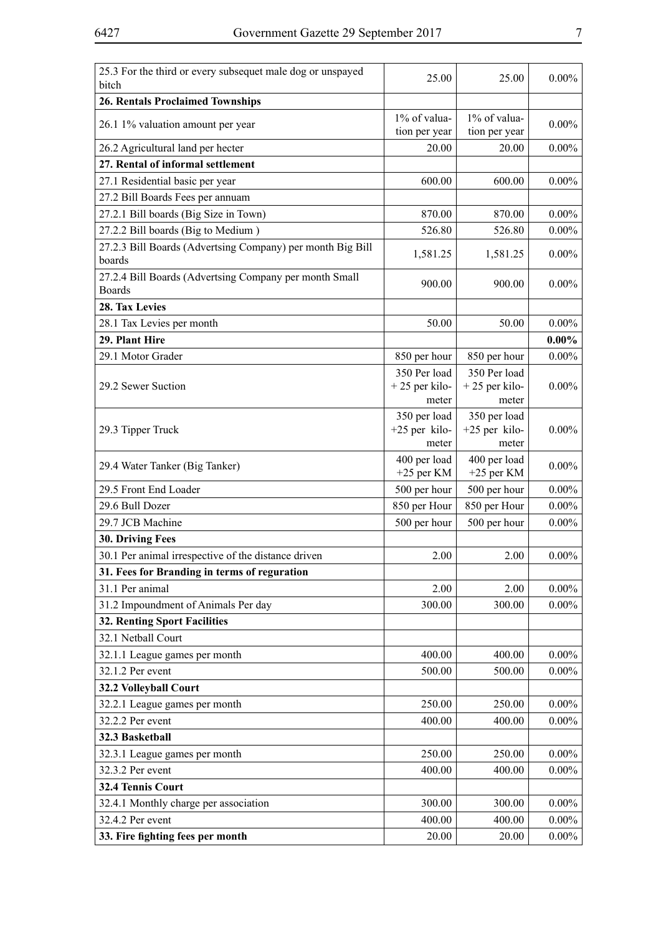| 25.3 For the third or every subsequet male dog or unspayed<br>bitch     | 25.00                         | 25.00                         | $0.00\%$ |
|-------------------------------------------------------------------------|-------------------------------|-------------------------------|----------|
| <b>26. Rentals Proclaimed Townships</b>                                 |                               |                               |          |
|                                                                         |                               |                               |          |
| 26.1 1% valuation amount per year                                       | 1% of valua-<br>tion per year | 1% of valua-<br>tion per year | $0.00\%$ |
|                                                                         | 20.00                         | 20.00                         | $0.00\%$ |
| 26.2 Agricultural land per hecter                                       |                               |                               |          |
| 27. Rental of informal settlement                                       |                               |                               |          |
| 27.1 Residential basic per year                                         | 600.00                        | 600.00                        | $0.00\%$ |
| 27.2 Bill Boards Fees per annuam                                        |                               |                               |          |
| 27.2.1 Bill boards (Big Size in Town)                                   | 870.00                        | 870.00                        | $0.00\%$ |
| 27.2.2 Bill boards (Big to Medium)                                      | 526.80                        | 526.80                        | $0.00\%$ |
| 27.2.3 Bill Boards (Advertsing Company) per month Big Bill<br>boards    | 1,581.25                      | 1,581.25                      | $0.00\%$ |
| 27.2.4 Bill Boards (Advertsing Company per month Small<br><b>Boards</b> | 900.00                        | 900.00                        | $0.00\%$ |
| 28. Tax Levies                                                          |                               |                               |          |
| 28.1 Tax Levies per month                                               | 50.00                         | 50.00                         | $0.00\%$ |
| 29. Plant Hire                                                          |                               |                               | $0.00\%$ |
| 29.1 Motor Grader                                                       | 850 per hour                  | 850 per hour                  | $0.00\%$ |
|                                                                         | 350 Per load                  | 350 Per load                  |          |
| 29.2 Sewer Suction                                                      | $+25$ per kilo-               | $+25$ per kilo-               | $0.00\%$ |
|                                                                         | meter                         | meter                         |          |
|                                                                         | 350 per load                  | 350 per load                  |          |
| 29.3 Tipper Truck                                                       | $+25$ per kilo-               | +25 per kilo-                 | $0.00\%$ |
|                                                                         | meter                         | meter                         |          |
| 29.4 Water Tanker (Big Tanker)                                          | 400 per load<br>$+25$ per KM  | 400 per load<br>$+25$ per KM  | $0.00\%$ |
| 29.5 Front End Loader                                                   | 500 per hour                  | 500 per hour                  | $0.00\%$ |
| 29.6 Bull Dozer                                                         | 850 per Hour                  | 850 per Hour                  | $0.00\%$ |
| 29.7 JCB Machine                                                        | 500 per hour                  | 500 per hour                  | $0.00\%$ |
| 30. Driving Fees                                                        |                               |                               |          |
| 30.1 Per animal irrespective of the distance driven                     | 2.00                          | 2.00                          | $0.00\%$ |
| 31. Fees for Branding in terms of reguration                            |                               |                               |          |
| 31.1 Per animal                                                         |                               |                               |          |
|                                                                         | 2.00                          | 2.00                          | $0.00\%$ |
| 31.2 Impoundment of Animals Per day                                     | 300.00                        | 300.00                        | $0.00\%$ |
| <b>32. Renting Sport Facilities</b>                                     |                               |                               |          |
| 32.1 Netball Court                                                      |                               |                               |          |
| 32.1.1 League games per month                                           | 400.00                        | 400.00                        | $0.00\%$ |
| 32.1.2 Per event                                                        | 500.00                        | 500.00                        | $0.00\%$ |
| 32.2 Volleyball Court                                                   |                               |                               |          |
| 32.2.1 League games per month                                           | 250.00                        | 250.00                        | $0.00\%$ |
| 32.2.2 Per event                                                        | 400.00                        | 400.00                        | $0.00\%$ |
| 32.3 Basketball                                                         |                               |                               |          |
| 32.3.1 League games per month                                           | 250.00                        | 250.00                        | $0.00\%$ |
| 32.3.2 Per event                                                        | 400.00                        | 400.00                        | $0.00\%$ |
| 32.4 Tennis Court                                                       |                               |                               |          |
| 32.4.1 Monthly charge per association                                   | 300.00                        | 300.00                        | $0.00\%$ |
| 32.4.2 Per event                                                        | 400.00                        | 400.00                        | $0.00\%$ |
|                                                                         | 20.00                         |                               | $0.00\%$ |
| 33. Fire fighting fees per month                                        |                               | 20.00                         |          |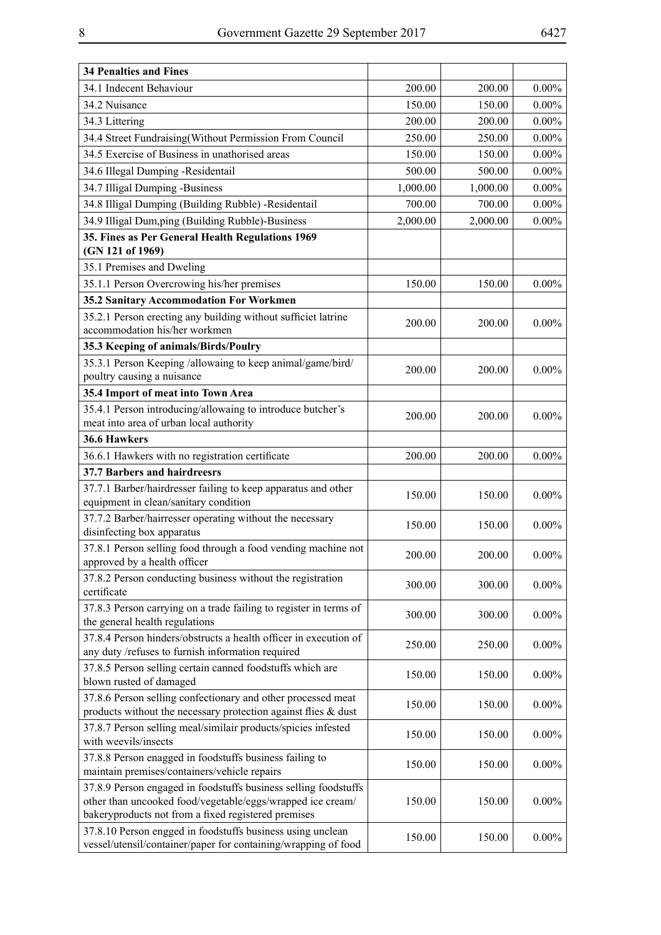| <b>34 Penalties and Fines</b>                                                                                                                                                        |          |          |          |
|--------------------------------------------------------------------------------------------------------------------------------------------------------------------------------------|----------|----------|----------|
| 34.1 Indecent Behaviour                                                                                                                                                              | 200.00   | 200.00   | $0.00\%$ |
| 34.2 Nuisance                                                                                                                                                                        | 150.00   | 150.00   | $0.00\%$ |
| 34.3 Littering                                                                                                                                                                       | 200.00   | 200.00   | $0.00\%$ |
| 34.4 Street Fundraising(Without Permission From Council                                                                                                                              | 250.00   | 250.00   | $0.00\%$ |
| 34.5 Exercise of Business in unathorised areas                                                                                                                                       | 150.00   | 150.00   | $0.00\%$ |
| 34.6 Illegal Dumping -Residentail                                                                                                                                                    | 500.00   | 500.00   | $0.00\%$ |
| 34.7 Illigal Dumping -Business                                                                                                                                                       | 1,000.00 | 1,000.00 | $0.00\%$ |
| 34.8 Illigal Dumping (Building Rubble) -Residentail                                                                                                                                  | 700.00   | 700.00   | $0.00\%$ |
| 34.9 Illigal Dum, ping (Building Rubble)-Business                                                                                                                                    | 2,000.00 | 2,000.00 | $0.00\%$ |
| 35. Fines as Per General Health Regulations 1969<br>(GN 121 of 1969)                                                                                                                 |          |          |          |
| 35.1 Premises and Dweling                                                                                                                                                            |          |          |          |
| 35.1.1 Person Overcrowing his/her premises                                                                                                                                           | 150.00   | 150.00   | $0.00\%$ |
| 35.2 Sanitary Accommodation For Workmen                                                                                                                                              |          |          |          |
| 35.2.1 Person erecting any building without sufficiet latrine<br>accommodation his/her workmen                                                                                       | 200.00   | 200.00   | $0.00\%$ |
| 35.3 Keeping of animals/Birds/Poulry                                                                                                                                                 |          |          |          |
| 35.3.1 Person Keeping /allowaing to keep animal/game/bird/<br>poultry causing a nuisance                                                                                             | 200.00   | 200.00   | $0.00\%$ |
| 35.4 Import of meat into Town Area                                                                                                                                                   |          |          |          |
| 35.4.1 Person introducing/allowaing to introduce butcher's<br>meat into area of urban local authority                                                                                | 200.00   | 200.00   | $0.00\%$ |
| 36.6 Hawkers                                                                                                                                                                         |          |          |          |
| 36.6.1 Hawkers with no registration certificate                                                                                                                                      | 200.00   | 200.00   | $0.00\%$ |
| 37.7 Barbers and hairdreesrs                                                                                                                                                         |          |          |          |
| 37.7.1 Barber/hairdresser failing to keep apparatus and other<br>equipment in clean/sanitary condition                                                                               | 150.00   | 150.00   | $0.00\%$ |
| 37.7.2 Barber/hairresser operating without the necessary<br>disinfecting box apparatus                                                                                               | 150.00   | 150.00   | $0.00\%$ |
| 37.8.1 Person selling food through a food vending machine not<br>approved by a health officer                                                                                        | 200.00   | 200.00   | $0.00\%$ |
| 37.8.2 Person conducting business without the registration<br>certificate                                                                                                            | 300.00   | 300.00   | $0.00\%$ |
| 37.8.3 Person carrying on a trade failing to register in terms of<br>the general health regulations                                                                                  | 300.00   | 300.00   | $0.00\%$ |
| 37.8.4 Person hinders/obstructs a health officer in execution of<br>any duty /refuses to furnish information required                                                                | 250.00   | 250.00   | $0.00\%$ |
| 37.8.5 Person selling certain canned foodstuffs which are<br>blown rusted of damaged                                                                                                 | 150.00   | 150.00   | $0.00\%$ |
| 37.8.6 Person selling confectionary and other processed meat<br>products without the necessary protection against flies $\&$ dust                                                    | 150.00   | 150.00   | $0.00\%$ |
| 37.8.7 Person selling meal/similair products/spicies infested<br>with weevils/insects                                                                                                | 150.00   | 150.00   | $0.00\%$ |
| 37.8.8 Person enagged in foodstuffs business failing to<br>maintain premises/containers/vehicle repairs                                                                              | 150.00   | 150.00   | $0.00\%$ |
| 37.8.9 Person engaged in foodstuffs business selling foodstuffs<br>other than uncooked food/vegetable/eggs/wrapped ice cream/<br>bakeryproducts not from a fixed registered premises | 150.00   | 150.00   | $0.00\%$ |
| 37.8.10 Person engged in foodstuffs business using unclean<br>vessel/utensil/container/paper for containing/wrapping of food                                                         | 150.00   | 150.00   | $0.00\%$ |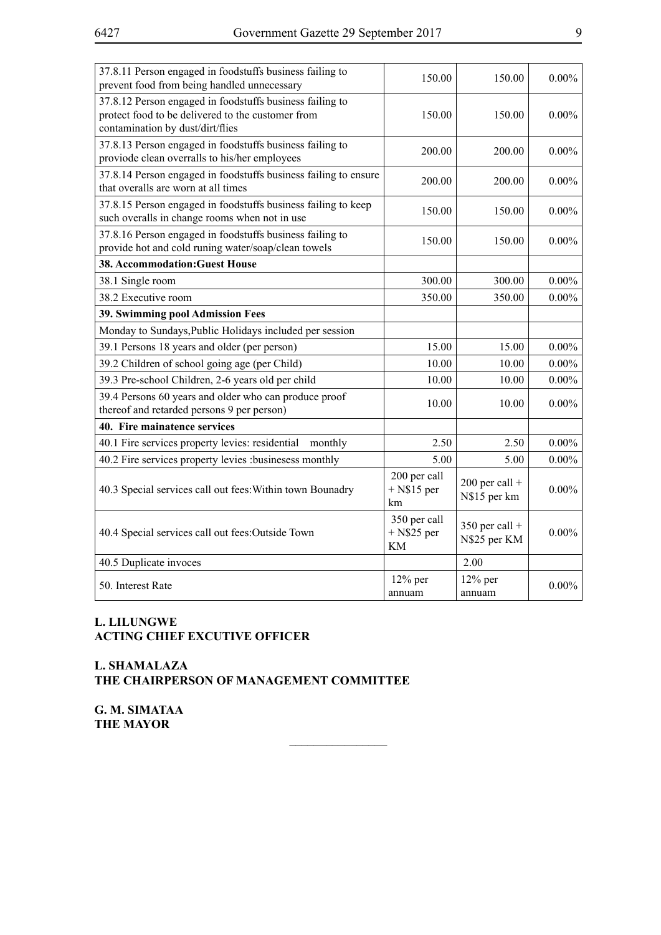| 37.8.11 Person engaged in foodstuffs business failing to<br>prevent food from being handled unnecessary                                           | 150.00                                     | 150.00                           | $0.00\%$ |
|---------------------------------------------------------------------------------------------------------------------------------------------------|--------------------------------------------|----------------------------------|----------|
| 37.8.12 Person engaged in foodstuffs business failing to<br>protect food to be delivered to the customer from<br>contamination by dust/dirt/flies | 150.00                                     | 150.00                           | $0.00\%$ |
| 37.8.13 Person engaged in foodstuffs business failing to<br>proviode clean overralls to his/her employees                                         | 200.00                                     | 200.00                           | $0.00\%$ |
| 37.8.14 Person engaged in foodstuffs business failing to ensure<br>that overalls are worn at all times                                            | 200.00                                     | 200.00                           | $0.00\%$ |
| 37.8.15 Person engaged in foodstuffs business failing to keep<br>such overalls in change rooms when not in use                                    | 150.00                                     | 150.00                           | $0.00\%$ |
| 37.8.16 Person engaged in foodstuffs business failing to<br>provide hot and cold runing water/soap/clean towels                                   | 150.00                                     | 150.00                           | $0.00\%$ |
| 38. Accommodation: Guest House                                                                                                                    |                                            |                                  |          |
| 38.1 Single room                                                                                                                                  | 300.00                                     | 300.00                           | $0.00\%$ |
| 38.2 Executive room                                                                                                                               | 350.00                                     | 350.00                           | $0.00\%$ |
| <b>39. Swimming pool Admission Fees</b>                                                                                                           |                                            |                                  |          |
| Monday to Sundays, Public Holidays included per session                                                                                           |                                            |                                  |          |
| 39.1 Persons 18 years and older (per person)                                                                                                      | 15.00                                      | 15.00                            | $0.00\%$ |
| 39.2 Children of school going age (per Child)                                                                                                     | 10.00                                      | 10.00                            | $0.00\%$ |
| 39.3 Pre-school Children, 2-6 years old per child                                                                                                 | 10.00                                      | 10.00                            | $0.00\%$ |
| 39.4 Persons 60 years and older who can produce proof<br>thereof and retarded persons 9 per person)                                               | 10.00                                      | 10.00                            | $0.00\%$ |
| 40. Fire mainatence services                                                                                                                      |                                            |                                  |          |
| 40.1 Fire services property levies: residential<br>monthly                                                                                        | 2.50                                       | 2.50                             | $0.00\%$ |
| 40.2 Fire services property levies :businesess monthly                                                                                            | 5.00                                       | 5.00                             | $0.00\%$ |
| 40.3 Special services call out fees: Within town Bounadry                                                                                         | 200 per call<br>$+$ N\$15 per<br>km        | $200$ per call +<br>N\$15 per km | $0.00\%$ |
| 40.4 Special services call out fees:Outside Town                                                                                                  | 350 per call<br>$+$ N\$25 per<br><b>KM</b> | $350$ per call +<br>N\$25 per KM | $0.00\%$ |
| 40.5 Duplicate invoces                                                                                                                            |                                            | 2.00                             |          |
| 50. Interest Rate                                                                                                                                 | $12\%$ per<br>annuam                       | $12\%$ per<br>annuam             | $0.00\%$ |

 $\overline{\phantom{a}}$  , where  $\overline{\phantom{a}}$ 

#### **L. LILUNGWE ACTING CHIEF EXCUTIVE OFFICER**

#### **L. SHAMALAZA THE CHAIRPERSON OF MANAGEMENT COMMITTEE**

**G. M. SIMATAA THE MAYOR**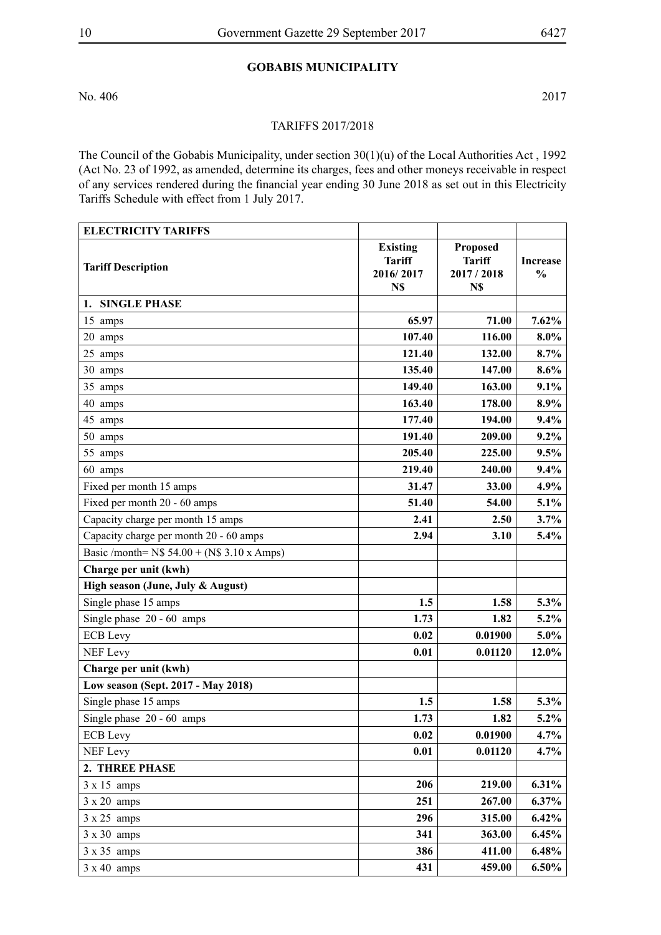### **GOBABIS MUNICIPALITY**

No. 406 2017

#### TARIFFS 2017/2018

The Council of the Gobabis Municipality, under section 30(1)(u) of the Local Authorities Act , 1992 (Act No. 23 of 1992, as amended, determine its charges, fees and other moneys receivable in respect of any services rendered during the financial year ending 30 June 2018 as set out in this Electricity Tariffs Schedule with effect from 1 July 2017.

| <b>ELECTRICITY TARIFFS</b>                     |                                                      |                                                        |                                  |
|------------------------------------------------|------------------------------------------------------|--------------------------------------------------------|----------------------------------|
| <b>Tariff Description</b>                      | <b>Existing</b><br><b>Tariff</b><br>2016/2017<br>N\$ | <b>Proposed</b><br><b>Tariff</b><br>2017 / 2018<br>N\$ | <b>Increase</b><br>$\frac{0}{0}$ |
| 1. SINGLE PHASE                                |                                                      |                                                        |                                  |
| 15 amps                                        | 65.97                                                | 71.00                                                  | $7.62\%$                         |
| 20 amps                                        | 107.40                                               | 116.00                                                 | $8.0\%$                          |
| 25 amps                                        | 121.40                                               | 132.00                                                 | 8.7%                             |
| 30 amps                                        | 135.40                                               | 147.00                                                 | 8.6%                             |
| 35 amps                                        | 149.40                                               | 163.00                                                 | 9.1%                             |
| 40 amps                                        | 163.40                                               | 178.00                                                 | 8.9%                             |
| 45 amps                                        | 177.40                                               | 194.00                                                 | 9.4%                             |
| 50 amps                                        | 191.40                                               | 209.00                                                 | $9.2\%$                          |
| 55 amps                                        | 205.40                                               | 225.00                                                 | 9.5%                             |
| 60 amps                                        | 219.40                                               | 240.00                                                 | 9.4%                             |
| Fixed per month 15 amps                        | 31.47                                                | 33.00                                                  | 4.9%                             |
| Fixed per month 20 - 60 amps                   | 51.40                                                | 54.00                                                  | 5.1%                             |
| Capacity charge per month 15 amps              | 2.41                                                 | 2.50                                                   | 3.7%                             |
| Capacity charge per month 20 - 60 amps         | 2.94                                                 | 3.10                                                   | 5.4%                             |
| Basic /month= $N$$ 54.00 + ( $N$$ 3.10 x Amps) |                                                      |                                                        |                                  |
| Charge per unit (kwh)                          |                                                      |                                                        |                                  |
| High season (June, July & August)              |                                                      |                                                        |                                  |
| Single phase 15 amps                           | 1.5                                                  | 1.58                                                   | $5.3\%$                          |
| Single phase 20 - 60 amps                      | 1.73                                                 | 1.82                                                   | $5.2\%$                          |
| <b>ECB</b> Levy                                | 0.02                                                 | 0.01900                                                | $5.0\%$                          |
| <b>NEF Levy</b>                                | 0.01                                                 | 0.01120                                                | 12.0%                            |
| Charge per unit (kwh)                          |                                                      |                                                        |                                  |
| Low season (Sept. 2017 - May 2018)             |                                                      |                                                        |                                  |
| Single phase 15 amps                           | 1.5                                                  | 1.58                                                   | 5.3%                             |
| Single phase 20 - 60 amps                      | 1.73                                                 | 1.82                                                   | $5.2\%$                          |
| <b>ECB</b> Levy                                | 0.02                                                 | 0.01900                                                | $4.7\%$                          |
| <b>NEF Levy</b>                                | 0.01                                                 | 0.01120                                                | 4.7%                             |
| 2. THREE PHASE                                 |                                                      |                                                        |                                  |
| $3 \times 15$ amps                             | 206                                                  | 219.00                                                 | $6.31\%$                         |
| $3 \times 20$ amps                             | 251                                                  | 267.00                                                 | $6.37\%$                         |
| $3 \times 25$ amps                             | 296                                                  | 315.00                                                 | $6.42\%$                         |
| $3 \times 30$ amps                             | 341                                                  | 363.00                                                 | 6.45%                            |
| $3 \times 35$ amps                             | 386                                                  | 411.00                                                 | 6.48%                            |
| $3 \times 40$ amps                             | 431                                                  | 459.00                                                 | $6.50\%$                         |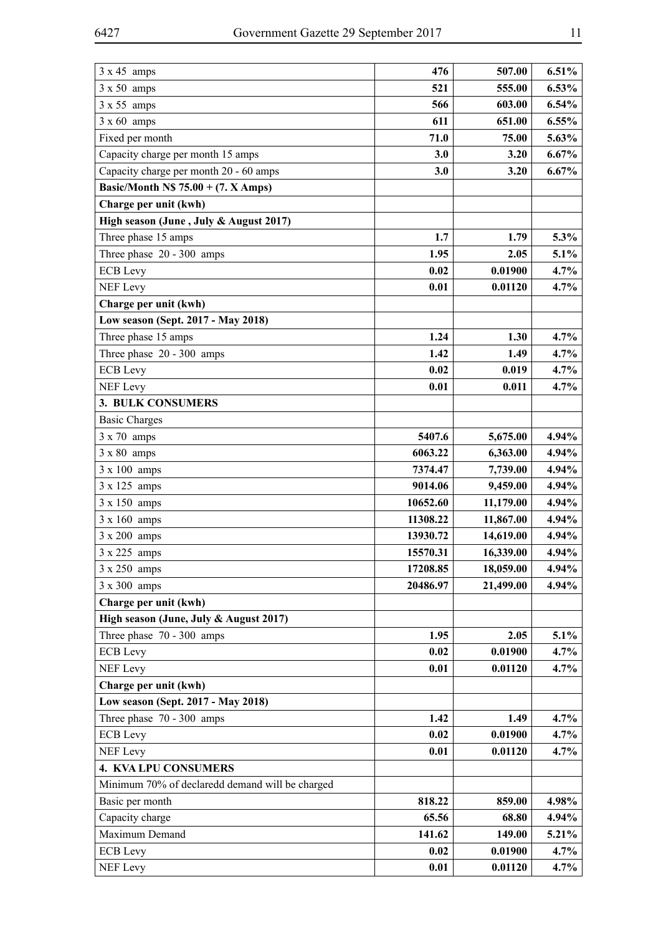| $3 \times 45$ amps                              | 476      | 507.00    | 6.51%    |
|-------------------------------------------------|----------|-----------|----------|
| $3 \times 50$ amps                              | 521      | 555.00    | 6.53%    |
| $3 \times 55$ amps                              | 566      | 603.00    | 6.54%    |
| $3 \times 60$ amps                              | 611      | 651.00    | 6.55%    |
| Fixed per month                                 | 71.0     | 75.00     | 5.63%    |
| Capacity charge per month 15 amps               | 3.0      | 3.20      | 6.67%    |
| Capacity charge per month 20 - 60 amps          | 3.0      | 3.20      | 6.67%    |
| Basic/Month N\$ $75.00 + (7. X Amps)$           |          |           |          |
| Charge per unit (kwh)                           |          |           |          |
| High season (June, July & August 2017)          |          |           |          |
| Three phase 15 amps                             | 1.7      | 1.79      | 5.3%     |
| Three phase 20 - 300 amps                       | 1.95     | 2.05      | 5.1%     |
| <b>ECB</b> Levy                                 | 0.02     | 0.01900   | 4.7%     |
| <b>NEF Levy</b>                                 | 0.01     | 0.01120   | 4.7%     |
| Charge per unit (kwh)                           |          |           |          |
| Low season (Sept. 2017 - May 2018)              |          |           |          |
| Three phase 15 amps                             | 1.24     | 1.30      | 4.7%     |
| Three phase 20 - 300 amps                       | 1.42     | 1.49      | 4.7%     |
| <b>ECB</b> Levy                                 | 0.02     | 0.019     | 4.7%     |
| <b>NEF Levy</b>                                 | 0.01     | 0.011     | 4.7%     |
| 3. BULK CONSUMERS                               |          |           |          |
| <b>Basic Charges</b>                            |          |           |          |
| $3 \times 70$ amps                              | 5407.6   | 5,675.00  | 4.94%    |
| $3 \times 80$ amps                              | 6063.22  | 6,363.00  | 4.94%    |
| 3 x 100 amps                                    | 7374.47  | 7,739.00  | 4.94%    |
| $3 \times 125$ amps                             | 9014.06  | 9,459.00  | 4.94%    |
| 3 x 150 amps                                    | 10652.60 | 11,179.00 | 4.94%    |
| $3 \times 160$ amps                             | 11308.22 | 11,867.00 | 4.94%    |
| 3 x 200 amps                                    | 13930.72 | 14,619.00 | 4.94%    |
| $3 \times 225$ amps                             | 15570.31 | 16,339.00 | 4.94%    |
| 3 x 250 amps                                    | 17208.85 | 18,059.00 | 4.94%    |
| $3 \times 300$ amps                             | 20486.97 | 21,499.00 | 4.94%    |
| Charge per unit (kwh)                           |          |           |          |
| High season (June, July & August 2017)          |          |           |          |
| Three phase 70 - 300 amps                       | 1.95     | 2.05      | $5.1\%$  |
| <b>ECB</b> Levy                                 | 0.02     | 0.01900   | 4.7%     |
| <b>NEF Levy</b>                                 | 0.01     | 0.01120   | $4.7\%$  |
| Charge per unit (kwh)                           |          |           |          |
| Low season (Sept. 2017 - May 2018)              |          |           |          |
| Three phase 70 - 300 amps                       | 1.42     | 1.49      | 4.7%     |
| <b>ECB</b> Levy                                 | 0.02     | 0.01900   | 4.7%     |
| <b>NEF Levy</b>                                 | 0.01     | 0.01120   | 4.7%     |
| <b>4. KVA LPU CONSUMERS</b>                     |          |           |          |
| Minimum 70% of declaredd demand will be charged |          |           |          |
| Basic per month                                 | 818.22   | 859.00    | 4.98%    |
| Capacity charge                                 | 65.56    | 68.80     | 4.94%    |
| Maximum Demand                                  | 141.62   | 149.00    | $5.21\%$ |
| <b>ECB</b> Levy                                 | 0.02     | 0.01900   | 4.7%     |
| <b>NEF Levy</b>                                 | 0.01     | 0.01120   | $4.7\%$  |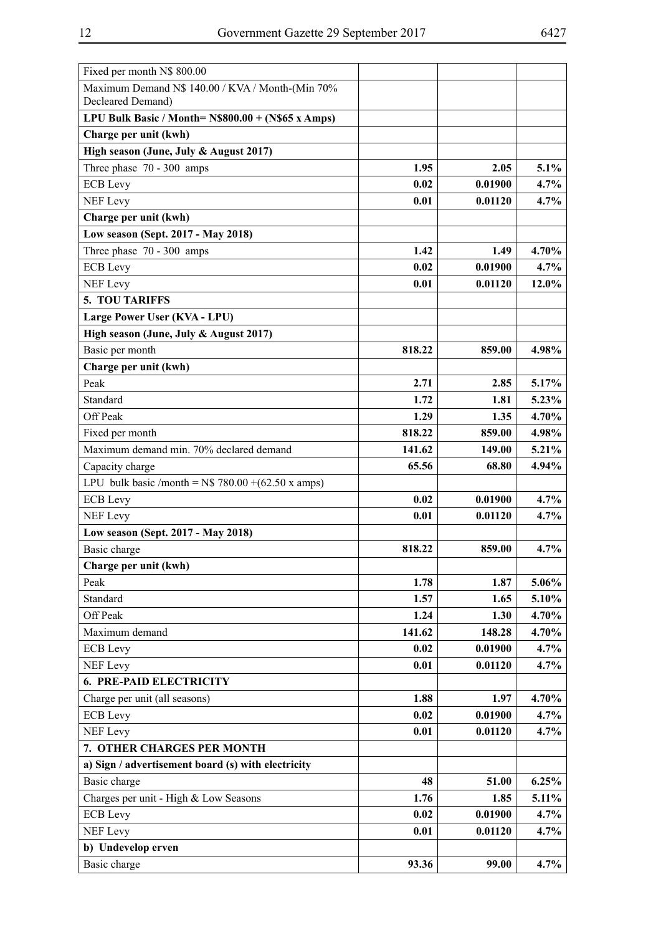| Fixed per month N\$ 800.00                                            |        |         |       |
|-----------------------------------------------------------------------|--------|---------|-------|
| Maximum Demand N\$ 140.00 / KVA / Month-(Min 70%<br>Decleared Demand) |        |         |       |
| LPU Bulk Basic / Month= $N$800.00 + (N$65 x Amps)$                    |        |         |       |
| Charge per unit (kwh)                                                 |        |         |       |
|                                                                       |        |         |       |
| High season (June, July & August 2017)                                |        |         |       |
| Three phase 70 - 300 amps                                             | 1.95   | 2.05    | 5.1%  |
| <b>ECB</b> Levy                                                       | 0.02   | 0.01900 | 4.7%  |
| <b>NEF Levy</b>                                                       | 0.01   | 0.01120 | 4.7%  |
| Charge per unit (kwh)                                                 |        |         |       |
| Low season (Sept. 2017 - May 2018)                                    |        |         |       |
| Three phase 70 - 300 amps                                             | 1.42   | 1.49    | 4.70% |
| <b>ECB</b> Levy                                                       | 0.02   | 0.01900 | 4.7%  |
| <b>NEF Levy</b>                                                       | 0.01   | 0.01120 | 12.0% |
| <b>5. TOU TARIFFS</b>                                                 |        |         |       |
| Large Power User (KVA - LPU)                                          |        |         |       |
| High season (June, July & August 2017)                                |        |         |       |
| Basic per month                                                       | 818.22 | 859.00  | 4.98% |
| Charge per unit (kwh)                                                 |        |         |       |
| Peak                                                                  | 2.71   | 2.85    | 5.17% |
| Standard                                                              | 1.72   | 1.81    | 5.23% |
| Off Peak                                                              | 1.29   | 1.35    | 4.70% |
| Fixed per month                                                       | 818.22 | 859.00  | 4.98% |
| Maximum demand min. 70% declared demand                               | 141.62 | 149.00  | 5.21% |
| Capacity charge                                                       | 65.56  | 68.80   | 4.94% |
| LPU bulk basic /month = $N$$ 780.00 +(62.50 x amps)                   |        |         |       |
| <b>ECB</b> Levy                                                       | 0.02   | 0.01900 | 4.7%  |
| <b>NEF Levy</b>                                                       | 0.01   | 0.01120 | 4.7%  |
| Low season (Sept. 2017 - May 2018)                                    |        |         |       |
| Basic charge                                                          | 818.22 | 859.00  | 4.7%  |
| Charge per unit (kwh)                                                 |        |         |       |
| Peak                                                                  | 1.78   | 1.87    | 5.06% |
| Standard                                                              | 1.57   | 1.65    | 5.10% |
| Off Peak                                                              | 1.24   | 1.30    | 4.70% |
| Maximum demand                                                        | 141.62 | 148.28  | 4.70% |
| <b>ECB</b> Levy                                                       | 0.02   | 0.01900 | 4.7%  |
| <b>NEF Levy</b>                                                       | 0.01   | 0.01120 | 4.7%  |
| <b>6. PRE-PAID ELECTRICITY</b>                                        |        |         |       |
| Charge per unit (all seasons)                                         | 1.88   | 1.97    | 4.70% |
| <b>ECB</b> Levy                                                       | 0.02   | 0.01900 | 4.7%  |
| <b>NEF Levy</b>                                                       | 0.01   | 0.01120 | 4.7%  |
| 7. OTHER CHARGES PER MONTH                                            |        |         |       |
| a) Sign / advertisement board (s) with electricity                    |        |         |       |
| Basic charge                                                          | 48     | 51.00   | 6.25% |
|                                                                       | 1.76   | 1.85    | 5.11% |
| Charges per unit - High & Low Seasons                                 | 0.02   | 0.01900 | 4.7%  |
| <b>ECB</b> Levy                                                       |        |         |       |
| <b>NEF Levy</b>                                                       | 0.01   | 0.01120 | 4.7%  |
| b) Undevelop erven                                                    |        |         |       |
| Basic charge                                                          | 93.36  | 99.00   | 4.7%  |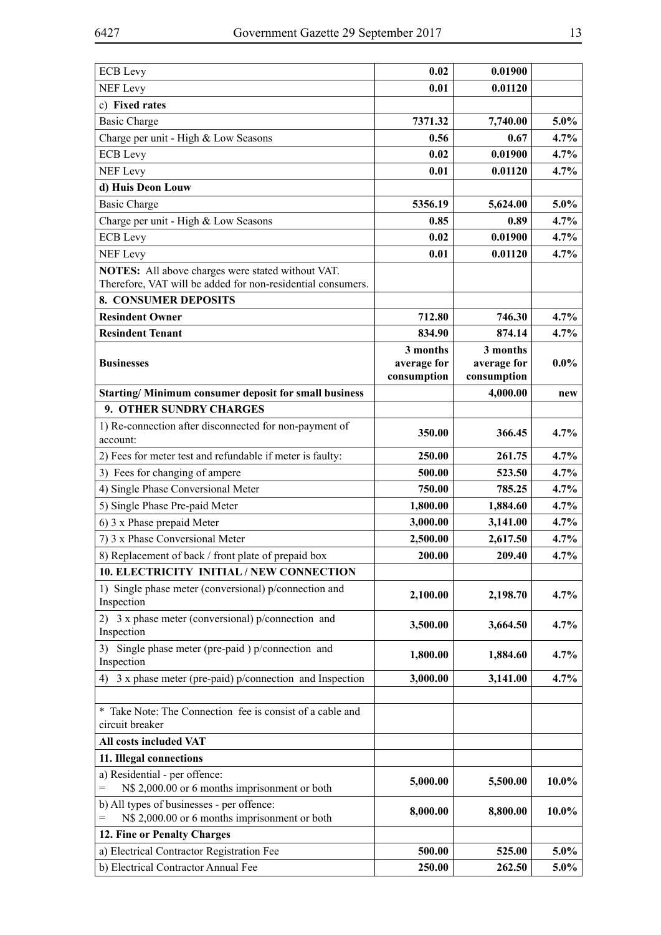| <b>ECB</b> Levy                                                                                                  | 0.02                    | 0.01900                 |          |
|------------------------------------------------------------------------------------------------------------------|-------------------------|-------------------------|----------|
| <b>NEF Levy</b>                                                                                                  | 0.01                    | 0.01120                 |          |
| c) Fixed rates                                                                                                   |                         |                         |          |
| <b>Basic Charge</b>                                                                                              | 7371.32                 | 7,740.00                | $5.0\%$  |
| Charge per unit - High & Low Seasons                                                                             | 0.56                    | 0.67                    | 4.7%     |
| <b>ECB</b> Levy                                                                                                  | 0.02                    | 0.01900                 | 4.7%     |
| <b>NEF</b> Levy                                                                                                  | 0.01                    | 0.01120                 | 4.7%     |
| d) Huis Deon Louw                                                                                                |                         |                         |          |
| <b>Basic Charge</b>                                                                                              | 5356.19                 | 5,624.00                | 5.0%     |
| Charge per unit - High & Low Seasons                                                                             | 0.85                    | 0.89                    | 4.7%     |
| <b>ECB</b> Levy                                                                                                  | 0.02                    | 0.01900                 | 4.7%     |
| <b>NEF Levy</b>                                                                                                  | 0.01                    | 0.01120                 | 4.7%     |
| NOTES: All above charges were stated without VAT.<br>Therefore, VAT will be added for non-residential consumers. |                         |                         |          |
| <b>8. CONSUMER DEPOSITS</b>                                                                                      |                         |                         |          |
| <b>Resindent Owner</b>                                                                                           | 712.80                  | 746.30                  | 4.7%     |
| <b>Resindent Tenant</b>                                                                                          | 834.90                  | 874.14                  | 4.7%     |
| <b>Businesses</b>                                                                                                | 3 months<br>average for | 3 months<br>average for | $0.0\%$  |
|                                                                                                                  | consumption             | consumption             |          |
| Starting/Minimum consumer deposit for small business                                                             |                         | 4,000.00                | new      |
| 9. OTHER SUNDRY CHARGES                                                                                          |                         |                         |          |
| 1) Re-connection after disconnected for non-payment of<br>account:                                               | 350.00                  | 366.45                  | 4.7%     |
| 2) Fees for meter test and refundable if meter is faulty:                                                        | 250.00                  | 261.75                  | 4.7%     |
| 3) Fees for changing of ampere                                                                                   | 500.00                  | 523.50                  | 4.7%     |
| 4) Single Phase Conversional Meter                                                                               | 750.00                  | 785.25                  | 4.7%     |
| 5) Single Phase Pre-paid Meter                                                                                   | 1,800.00                | 1,884.60                | 4.7%     |
| 6) 3 x Phase prepaid Meter                                                                                       | 3,000.00                | 3,141.00                | 4.7%     |
| 7) 3 x Phase Conversional Meter                                                                                  | 2,500.00                | 2,617.50                | 4.7%     |
|                                                                                                                  | 200.00                  | 209.40                  | 4.7%     |
| 8) Replacement of back / front plate of prepaid box<br>10. ELECTRICITY INITIAL / NEW CONNECTION                  |                         |                         |          |
| 1) Single phase meter (conversional) p/connection and<br>Inspection                                              | 2,100.00                | 2,198.70                | 4.7%     |
| 2) 3 x phase meter (conversional) p/connection and<br>Inspection                                                 | 3,500.00                | 3,664.50                | 4.7%     |
| 3) Single phase meter (pre-paid) p/connection and<br>Inspection                                                  | 1,800.00                | 1,884.60                | 4.7%     |
| 4) 3 x phase meter (pre-paid) p/connection and Inspection                                                        | 3,000.00                | 3,141.00                | 4.7%     |
| * Take Note: The Connection fee is consist of a cable and<br>circuit breaker                                     |                         |                         |          |
| All costs included VAT                                                                                           |                         |                         |          |
| 11. Illegal connections                                                                                          |                         |                         |          |
| a) Residential - per offence:<br>N\$ 2,000.00 or 6 months imprisonment or both<br>$=$                            | 5,000.00                | 5,500.00                | $10.0\%$ |
| b) All types of businesses - per offence:<br>N\$ 2,000.00 or 6 months imprisonment or both                       | 8,000.00                | 8,800.00                | $10.0\%$ |
| 12. Fine or Penalty Charges                                                                                      |                         |                         |          |
| a) Electrical Contractor Registration Fee                                                                        | 500.00                  | 525.00                  | $5.0\%$  |
| b) Electrical Contractor Annual Fee                                                                              | 250.00                  | 262.50                  | $5.0\%$  |